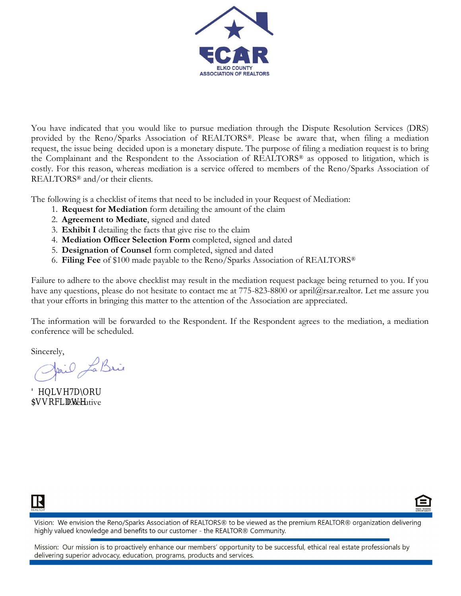

You have indicated that you would like to pursue mediation through the Dispute Resolution Services (DRS) provided by the Reno/Sparks Association of REALTORS®. Please be aware that, when filing a mediation request, the issue being decided upon is a monetary dispute. The purpose of filing a mediation request is to bring the Complainant and the Respondent to the Association of REALTORS® as opposed to litigation, which is costly. For this reason, whereas mediation is a service offered to members of the Reno/Sparks Association of REALTORS® and/or their clients.

The following is a checklist of items that need to be included in your Request of Mediation:

- 1. **Request for Mediation** form detailing the amount of the claim
- 2. **Agreement to Mediate**, signed and dated
- 3. **Exhibit I** detailing the facts that give rise to the claim
- 4. **Mediation Officer Selection Form** completed, signed and dated
- 5. **Designation of Counsel** form completed, signed and dated
- 6. **Filing Fee** of \$100 made payable to the Reno/Sparks Association of REALTORS®

Failure to adhere to the above checklist may result in the mediation request package being returned to you. If you have any questions, please do not hesitate to contact me at 775-823-8800 or april@rsar.realtor. Let me assure you that your efforts in bringing this matter to the attention of the Association are appreciated.

The information will be forwarded to the Respondent. If the Respondent agrees to the mediation, a mediation conference will be scheduled.

R

Sincerely,<br>Janil La Brie

Executive



Vision: We envision the Reno/Sparks Association of REALTORS® to be viewed as the premium REALTOR® organization delivering highly valued knowledge and benefits to our customer - the REALTOR® Community.

Mission: Our mission is to proactively enhance our members' opportunity to be successful, ethical real estate professionals by delivering superior advocacy, education, programs, products and services.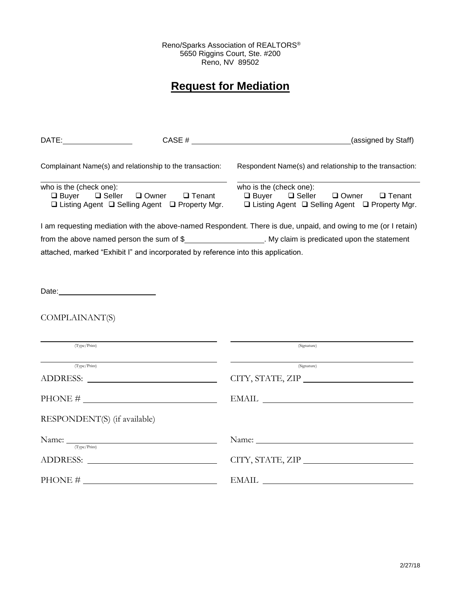Reno/Sparks Association of REALTORS® 5650 Riggins Court, Ste. #200 Reno, NV 89502

# **Request for Mediation**

| DATE:                                                                                                                        |                                                                                                                                                                                                                                | CASE # (assigned by Staff)                                                                                                                                                                                                                                                                                                                                                                                                                                                               |  |
|------------------------------------------------------------------------------------------------------------------------------|--------------------------------------------------------------------------------------------------------------------------------------------------------------------------------------------------------------------------------|------------------------------------------------------------------------------------------------------------------------------------------------------------------------------------------------------------------------------------------------------------------------------------------------------------------------------------------------------------------------------------------------------------------------------------------------------------------------------------------|--|
| Complainant Name(s) and relationship to the transaction:                                                                     |                                                                                                                                                                                                                                | Respondent Name(s) and relationship to the transaction:                                                                                                                                                                                                                                                                                                                                                                                                                                  |  |
| who is the (check one):<br>□ Owner □ Tenant<br>$\Box$ Buyer $\Box$ Seller<br>□ Listing Agent □ Selling Agent □ Property Mgr. |                                                                                                                                                                                                                                | who is the (check one):<br><b>□</b> Buyer □ Seller □ Owner<br>$\Box$ Tenant<br>□ Listing Agent □ Selling Agent □ Property Mgr.                                                                                                                                                                                                                                                                                                                                                           |  |
|                                                                                                                              |                                                                                                                                                                                                                                | I am requesting mediation with the above-named Respondent. There is due, unpaid, and owing to me (or I retain)                                                                                                                                                                                                                                                                                                                                                                           |  |
|                                                                                                                              |                                                                                                                                                                                                                                | from the above named person the sum of \$______________________. My claim is predicated upon the statement                                                                                                                                                                                                                                                                                                                                                                               |  |
|                                                                                                                              | attached, marked "Exhibit I" and incorporated by reference into this application.                                                                                                                                              |                                                                                                                                                                                                                                                                                                                                                                                                                                                                                          |  |
|                                                                                                                              |                                                                                                                                                                                                                                |                                                                                                                                                                                                                                                                                                                                                                                                                                                                                          |  |
| Date: <u>Date:</u>                                                                                                           |                                                                                                                                                                                                                                |                                                                                                                                                                                                                                                                                                                                                                                                                                                                                          |  |
| COMPLAINANT(S)                                                                                                               |                                                                                                                                                                                                                                |                                                                                                                                                                                                                                                                                                                                                                                                                                                                                          |  |
| (Type/Print)                                                                                                                 |                                                                                                                                                                                                                                | (Signature)                                                                                                                                                                                                                                                                                                                                                                                                                                                                              |  |
| (Type/Print)                                                                                                                 |                                                                                                                                                                                                                                | (Signature)                                                                                                                                                                                                                                                                                                                                                                                                                                                                              |  |
|                                                                                                                              | ADDRESS: North Contract of the Second Second Second Second Second Second Second Second Second Second Second Second Second Second Second Second Second Second Second Second Second Second Second Second Second Second Second Se | CITY, STATE, ZIP                                                                                                                                                                                                                                                                                                                                                                                                                                                                         |  |
|                                                                                                                              |                                                                                                                                                                                                                                | $\begin{tabular}{c} EMAIL \end{tabular} \begin{tabular}{c} \multicolumn{2}{c}{} \multicolumn{2}{c}{} \multicolumn{2}{c}{} \multicolumn{2}{c}{} \multicolumn{2}{c}{} \multicolumn{2}{c}{} \multicolumn{2}{c}{} \multicolumn{2}{c}{} \multicolumn{2}{c}{} \multicolumn{2}{c}{} \multicolumn{2}{c}{} \multicolumn{2}{c}{} \multicolumn{2}{c}{} \multicolumn{2}{c}{} \multicolumn{2}{c}{} \multicolumn{2}{c}{} \multicolumn{2}{c}{} \multicolumn{2}{c}{} \multicolumn{2}{c}{} \multicolumn{$ |  |
| RESPONDENT(S) (if available)                                                                                                 |                                                                                                                                                                                                                                |                                                                                                                                                                                                                                                                                                                                                                                                                                                                                          |  |
| (Type/Print)                                                                                                                 | Name: Name:                                                                                                                                                                                                                    |                                                                                                                                                                                                                                                                                                                                                                                                                                                                                          |  |
|                                                                                                                              |                                                                                                                                                                                                                                | CITY, STATE, ZIP                                                                                                                                                                                                                                                                                                                                                                                                                                                                         |  |
|                                                                                                                              |                                                                                                                                                                                                                                | $\begin{tabular}{c}  \bf{EMAIL} \end{tabular}$                                                                                                                                                                                                                                                                                                                                                                                                                                           |  |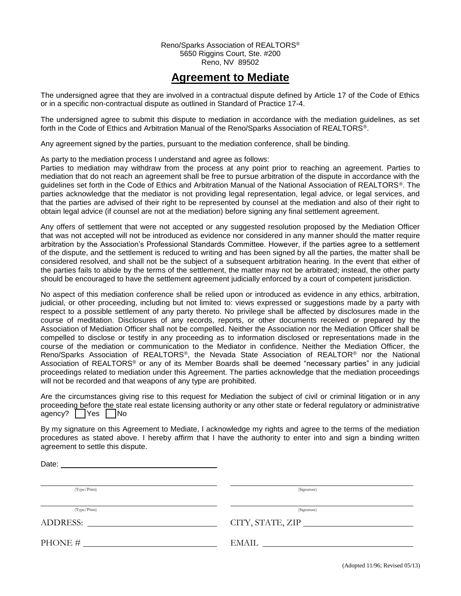#### Reno/Sparks Association of REALTORS® 5650 Riggins Court, Ste. #200 Reno, NV 89502

## **Agreement to Mediate**

The undersigned agree that they are involved in a contractual dispute defined by Article 17 of the Code of Ethics or in a specific non-contractual dispute as outlined in Standard of Practice 17-4.

The undersigned agree to submit this dispute to mediation in accordance with the mediation guidelines, as set forth in the Code of Ethics and Arbitration Manual of the Reno/Sparks Association of REALTORS®.

Any agreement signed by the parties, pursuant to the mediation conference, shall be binding.

As party to the mediation process I understand and agree as follows:

Parties to mediation may withdraw from the process at any point prior to reaching an agreement. Parties to mediation that do not reach an agreement shall be free to pursue arbitration of the dispute in accordance with the guidelines set forth in the Code of Ethics and Arbitration Manual of the National Association of REALTORS®. The parties acknowledge that the mediator is not providing legal representation, legal advice, or legal services, and that the parties are advised of their right to be represented by counsel at the mediation and also of their right to obtain legal advice (if counsel are not at the mediation) before signing any final settlement agreement.

Any offers of settlement that were not accepted or any suggested resolution proposed by the Mediation Officer that was not accepted will not be introduced as evidence nor considered in any manner should the matter require arbitration by the Association's Professional Standards Committee. However, if the parties agree to a settlement of the dispute, and the settlement is reduced to writing and has been signed by all the parties, the matter shall be considered resolved, and shall not be the subject of a subsequent arbitration hearing. In the event that either of the parties fails to abide by the terms of the settlement, the matter may not be arbitrated; instead, the other party should be encouraged to have the settlement agreement judicially enforced by a court of competent jurisdiction.

No aspect of this mediation conference shall be relied upon or introduced as evidence in any ethics, arbitration, judicial, or other proceeding, including but not limited to: views expressed or suggestions made by a party with respect to a possible settlement of any party thereto. No privilege shall be affected by disclosures made in the course of meditation. Disclosures of any records, reports, or other documents received or prepared by the Association of Mediation Officer shall not be compelled. Neither the Association nor the Mediation Officer shall be compelled to disclose or testify in any proceeding as to information disclosed or representations made in the course of the mediation or communication to the Mediator in confidence. Neither the Mediation Officer, the Reno/Sparks Association of REALTORS®, the Nevada State Association of REALTOR® nor the National Association of REALTORS® or any of its Member Boards shall be deemed "necessary parties" in any judicial proceedings related to mediation under this Agreement. The parties acknowledge that the mediation proceedings will not be recorded and that weapons of any type are prohibited.

Are the circumstances giving rise to this request for Mediation the subject of civil or criminal litigation or in any proceeding before the state real estate licensing authority or any other state or federal regulatory or administrative agency? | | Yes | | No

By my signature on this Agreement to Mediate, I acknowledge my rights and agree to the terms of the mediation procedures as stated above. I hereby affirm that I have the authority to enter into and sign a binding written agreement to settle this dispute.

| Date:                                                                                                                                             |                                 |
|---------------------------------------------------------------------------------------------------------------------------------------------------|---------------------------------|
| (Type/Print)                                                                                                                                      | (Signature)                     |
| (Type/Print)<br>ADDRESS:<br><u> 1980 - Jan Barbara Barbara, prima prima prima prima prima prima prima prima prima prima prima prima prima pri</u> | (Signature)<br>CITY, STATE, ZIP |
| PHONE #                                                                                                                                           | EMAIL                           |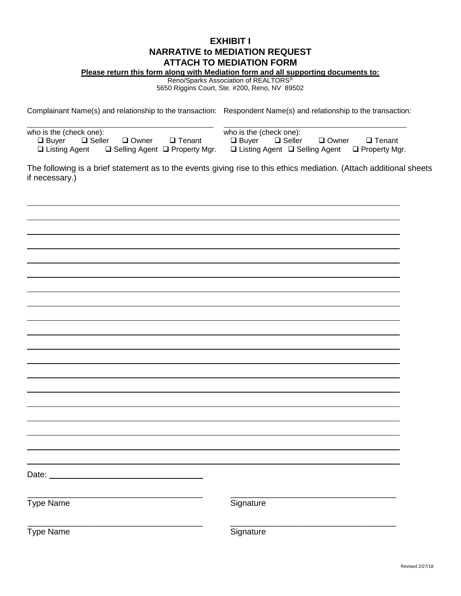#### **EXHIBIT I NARRATIVE to MEDIATION REQUEST ATTACH TO MEDIATION FORM**

**Please return this form along with Mediation form and all supporting documents to:**

Reno/Sparks Association of REALTORS®

5650 Riggins Court, Ste. #200, Reno, NV 89502

Complainant Name(s) and relationship to the transaction: Respondent Name(s) and relationship to the transaction:

| who is the (check one): |  | who is the (check one):                 |                                           |  |                          |  |                                                                |
|-------------------------|--|-----------------------------------------|-------------------------------------------|--|--------------------------|--|----------------------------------------------------------------|
|                         |  | $\Box$ Buyer $\Box$ Seller $\Box$ Owner | □ Tenant                                  |  | □ Buyer □ Seller □ Owner |  | □ Tenant                                                       |
| $\Box$ Listing Agent    |  |                                         | $\Box$ Selling Agent $\Box$ Property Mgr. |  |                          |  | $\Box$ Listing Agent $\Box$ Selling Agent $\Box$ Property Mgr. |

The following is a brief statement as to the events giving rise to this ethics mediation. (Attach additional sheets if necessary.)

| Type Name | Signature |  |
|-----------|-----------|--|
| Type Name | Signature |  |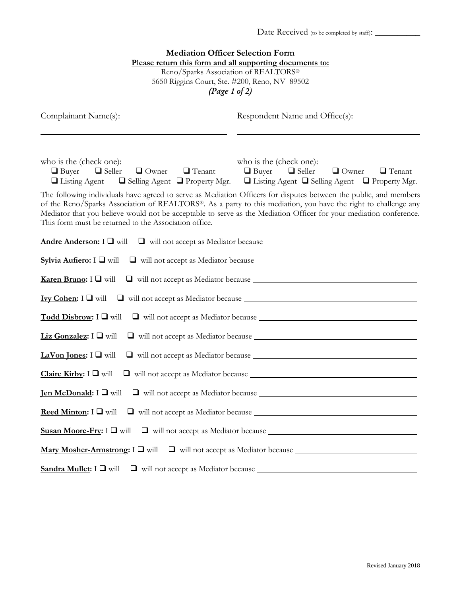| <b>Mediation Officer Selection Form</b><br>Please return this form and all supporting documents to:<br>Reno/Sparks Association of REALTORS®<br>5650 Riggins Court, Ste. #200, Reno, NV 89502<br>(Page 1 of 2)                                                                                 |                                                                                                                                                       |  |  |
|-----------------------------------------------------------------------------------------------------------------------------------------------------------------------------------------------------------------------------------------------------------------------------------------------|-------------------------------------------------------------------------------------------------------------------------------------------------------|--|--|
| Complainant Name(s):                                                                                                                                                                                                                                                                          | Respondent Name and Office(s):                                                                                                                        |  |  |
| who is the (check one):<br>$\Box$ Buyer $\Box$ Seller<br>$\Box$ Owner $\Box$ Tenant<br>$\Box$ Listing Agent $\Box$ Selling Agent $\Box$ Property Mgr.<br>The following individuals have agreed to serve as Mediation Officers for disputes between the public, and members                    | who is the (check one):<br>$\Box$ Buyer $\Box$ Seller<br>$\Box$ Owner $\Box$ Tenant<br>$\Box$ Listing Agent $\Box$ Selling Agent $\Box$ Property Mgr. |  |  |
| of the Reno/Sparks Association of REALTORS®. As a party to this mediation, you have the right to challenge any<br>Mediator that you believe would not be acceptable to serve as the Mediation Officer for your mediation conference.<br>This form must be returned to the Association office. |                                                                                                                                                       |  |  |
| Andre Anderson: I □ will                                                                                                                                                                                                                                                                      |                                                                                                                                                       |  |  |
| Sylvia Aufiero: I $\Box$ will                                                                                                                                                                                                                                                                 |                                                                                                                                                       |  |  |
| <b>Karen Bruno:</b> $I \square$ will                                                                                                                                                                                                                                                          |                                                                                                                                                       |  |  |
| <b>Ivy Cohen:</b> $I \square$ will                                                                                                                                                                                                                                                            |                                                                                                                                                       |  |  |
| Todd Disbrow: $I \square$ will                                                                                                                                                                                                                                                                |                                                                                                                                                       |  |  |
| Liz Gonzalez: I U will                                                                                                                                                                                                                                                                        |                                                                                                                                                       |  |  |
| LaVon Jones: $I \square$ will                                                                                                                                                                                                                                                                 |                                                                                                                                                       |  |  |
| Claire Kirby: $I \Box$ will                                                                                                                                                                                                                                                                   |                                                                                                                                                       |  |  |
| <b>Jen McDonald:</b> $I \square$ will                                                                                                                                                                                                                                                         |                                                                                                                                                       |  |  |
| <b>Reed Minton:</b> $I \square$ will                                                                                                                                                                                                                                                          |                                                                                                                                                       |  |  |
| Susan Moore-Fry: $I \square$ will                                                                                                                                                                                                                                                             |                                                                                                                                                       |  |  |
|                                                                                                                                                                                                                                                                                               |                                                                                                                                                       |  |  |
| Sandra Mullet: $I \square$ will                                                                                                                                                                                                                                                               |                                                                                                                                                       |  |  |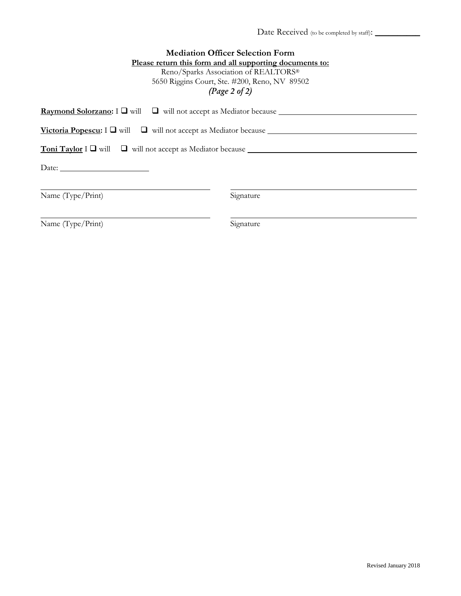| <b>Mediation Officer Selection Form</b>                                                         |                                                          |  |
|-------------------------------------------------------------------------------------------------|----------------------------------------------------------|--|
|                                                                                                 | Please return this form and all supporting documents to: |  |
| Reno/Sparks Association of REALTORS®                                                            |                                                          |  |
| 5650 Riggins Court, Ste. #200, Reno, NV 89502                                                   |                                                          |  |
| (Page 2 of 2)                                                                                   |                                                          |  |
| <b>Raymond Solorzano:</b> $I \square$ will $\square$ will not accept as Mediator because $\_\_$ |                                                          |  |
| <b>Victoria Popescu:</b> $I \square$ will $\square$ will not accept as Mediator because         |                                                          |  |
| <b>Toni Taylor</b> $I \square$ will $\square$ will not accept as Mediator because $\square$     |                                                          |  |
|                                                                                                 |                                                          |  |
|                                                                                                 |                                                          |  |
| Name (Type/Print)                                                                               | Signature                                                |  |
| Name (Type/Print)                                                                               | Signature                                                |  |